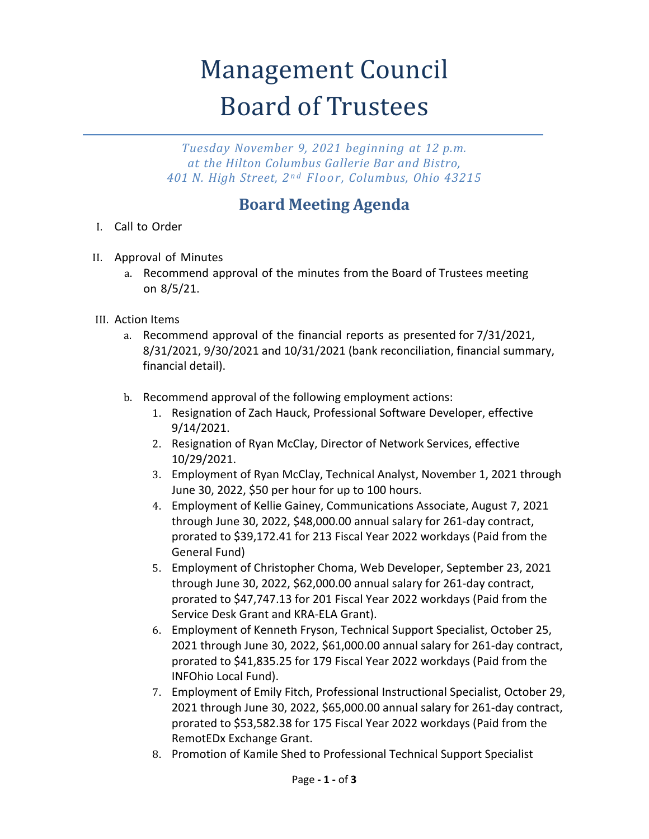## **Management Council** Board of Trustees

*Tuesday November 9, 2021 beginning at 12 p.m. at the Hilton Columbus Gallerie Bar and Bistro, 401 N. High Street, 2 n d Floor , Columbus, Ohio 43215*

## **Board Meeting Agenda**

- I. Call to Order
- II. Approval of Minutes
	- a. Recommend approval of the minutes from the Board of Trustees meeting on 8/5/21.
- III. Action Items
	- a. Recommend approval of the financial reports as presented for 7/31/2021, 8/31/2021, 9/30/2021 and 10/31/2021 (bank reconciliation, financial summary, financial detail).
	- b. Recommend approval of the following employment actions:
		- 1. Resignation of Zach Hauck, Professional Software Developer, effective 9/14/2021.
		- 2. Resignation of Ryan McClay, Director of Network Services, effective 10/29/2021.
		- 3. Employment of Ryan McClay, Technical Analyst, November 1, 2021 through June 30, 2022, \$50 per hour for up to 100 hours.
		- 4. Employment of Kellie Gainey, Communications Associate, August 7, 2021 through June 30, 2022, \$48,000.00 annual salary for 261-day contract, prorated to \$39,172.41 for 213 Fiscal Year 2022 workdays (Paid from the General Fund)
		- 5. Employment of Christopher Choma, Web Developer, September 23, 2021 through June 30, 2022, \$62,000.00 annual salary for 261-day contract, prorated to \$47,747.13 for 201 Fiscal Year 2022 workdays (Paid from the Service Desk Grant and KRA-ELA Grant).
		- 6. Employment of Kenneth Fryson, Technical Support Specialist, October 25, 2021 through June 30, 2022, \$61,000.00 annual salary for 261-day contract, prorated to \$41,835.25 for 179 Fiscal Year 2022 workdays (Paid from the INFOhio Local Fund).
		- 7. Employment of Emily Fitch, Professional Instructional Specialist, October 29, 2021 through June 30, 2022, \$65,000.00 annual salary for 261-day contract, prorated to \$53,582.38 for 175 Fiscal Year 2022 workdays (Paid from the RemotEDx Exchange Grant.
		- 8. Promotion of Kamile Shed to Professional Technical Support Specialist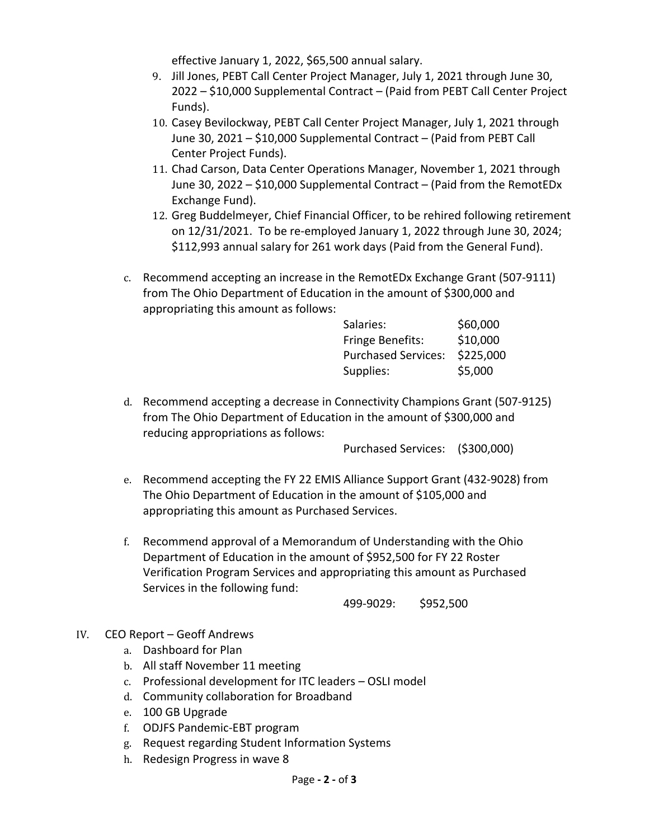effective January 1, 2022, \$65,500 annual salary.

- 9. Jill Jones, PEBT Call Center Project Manager, July 1, 2021 through June 30, 2022 – \$10,000 Supplemental Contract – (Paid from PEBT Call Center Project Funds).
- 10. Casey Bevilockway, PEBT Call Center Project Manager, July 1, 2021 through June 30, 2021 – \$10,000 Supplemental Contract – (Paid from PEBT Call Center Project Funds).
- 11. Chad Carson, Data Center Operations Manager, November 1, 2021 through June 30, 2022 – \$10,000 Supplemental Contract – (Paid from the RemotEDx Exchange Fund).
- 12. Greg Buddelmeyer, Chief Financial Officer, to be rehired following retirement on 12/31/2021. To be re-employed January 1, 2022 through June 30, 2024; \$112,993 annual salary for 261 work days (Paid from the General Fund).
- c. Recommend accepting an increase in the RemotEDx Exchange Grant (507-9111) from The Ohio Department of Education in the amount of \$300,000 and appropriating this amount as follows:

| Salaries:                  | \$60,000  |
|----------------------------|-----------|
| <b>Fringe Benefits:</b>    | \$10,000  |
| <b>Purchased Services:</b> | \$225,000 |
| Supplies:                  | \$5,000   |

d. Recommend accepting a decrease in Connectivity Champions Grant (507-9125) from The Ohio Department of Education in the amount of \$300,000 and reducing appropriations as follows:

Purchased Services: (\$300,000)

- e. Recommend accepting the FY 22 EMIS Alliance Support Grant (432-9028) from The Ohio Department of Education in the amount of \$105,000 and appropriating this amount as Purchased Services.
- f. Recommend approval of a Memorandum of Understanding with the Ohio Department of Education in the amount of \$952,500 for FY 22 Roster Verification Program Services and appropriating this amount as Purchased Services in the following fund:

499-9029: \$952,500

- IV. CEO Report Geoff Andrews
	- a. Dashboard for Plan
	- b. All staff November 11 meeting
	- c. Professional development for ITC leaders OSLI model
	- d. Community collaboration for Broadband
	- e. 100 GB Upgrade
	- f. ODJFS Pandemic-EBT program
	- g. Request regarding Student Information Systems
	- h. Redesign Progress in wave 8